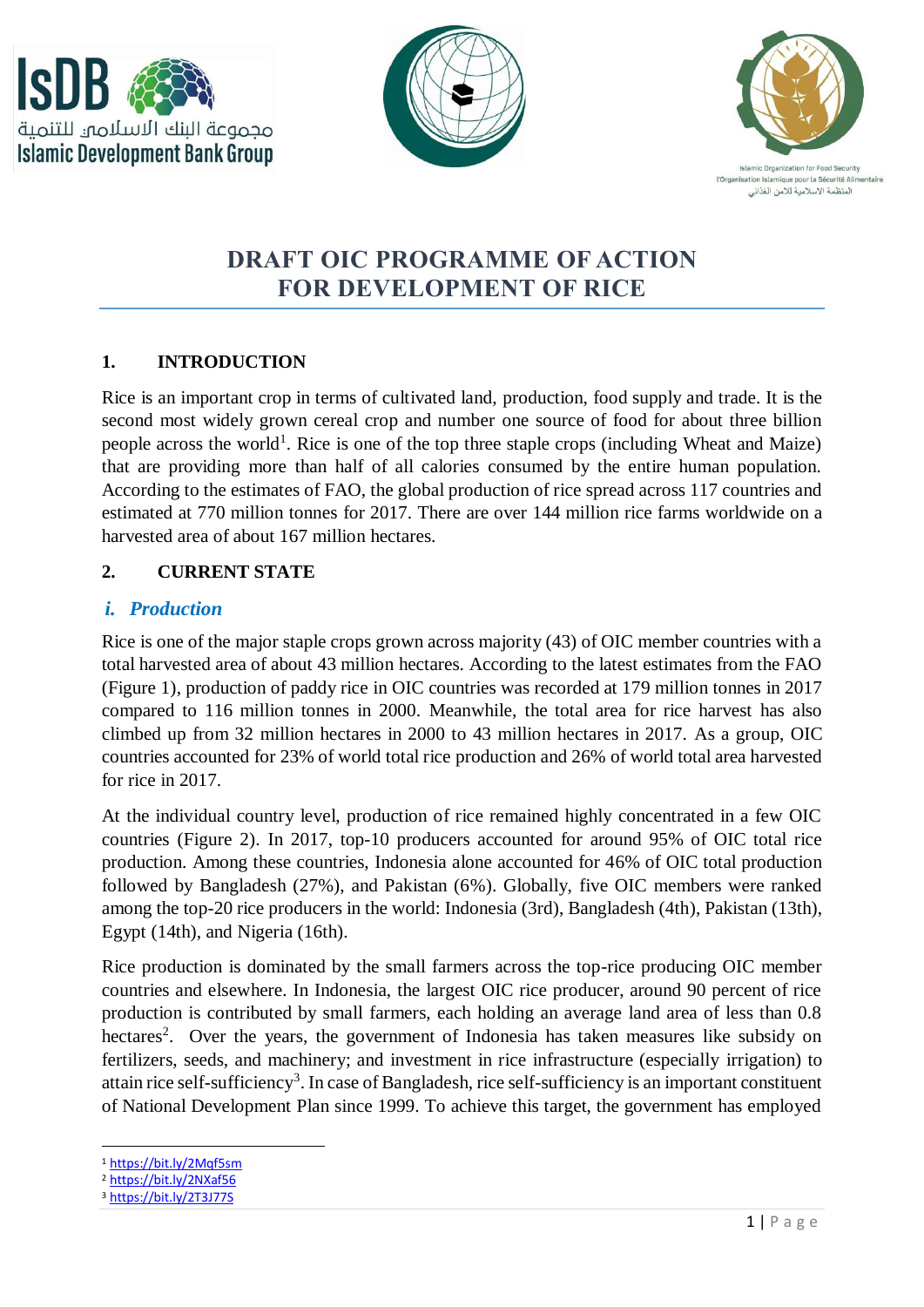





# **DRAFT OIC PROGRAMME OF ACTION FOR DEVELOPMENT OF RICE**

### **1. INTRODUCTION**

Rice is an important crop in terms of cultivated land, production, food supply and trade. It is the second most widely grown cereal crop and number one source of food for about three billion people across the world<sup>1</sup>. Rice is one of the top three staple crops (including Wheat and Maize) that are providing more than half of all calories consumed by the entire human population. According to the estimates of FAO, the global production of rice spread across 117 countries and estimated at 770 million tonnes for 2017. There are over 144 million rice farms worldwide on a harvested area of about 167 million hectares.

### **2. CURRENT STATE**

### *i. Production*

Rice is one of the major staple crops grown across majority (43) of OIC member countries with a total harvested area of about 43 million hectares. According to the latest estimates from the FAO (Figure 1), production of paddy rice in OIC countries was recorded at 179 million tonnes in 2017 compared to 116 million tonnes in 2000. Meanwhile, the total area for rice harvest has also climbed up from 32 million hectares in 2000 to 43 million hectares in 2017. As a group, OIC countries accounted for 23% of world total rice production and 26% of world total area harvested for rice in 2017.

At the individual country level, production of rice remained highly concentrated in a few OIC countries (Figure 2). In 2017, top-10 producers accounted for around 95% of OIC total rice production. Among these countries, Indonesia alone accounted for 46% of OIC total production followed by Bangladesh (27%), and Pakistan (6%). Globally, five OIC members were ranked among the top-20 rice producers in the world: Indonesia (3rd), Bangladesh (4th), Pakistan (13th), Egypt (14th), and Nigeria (16th).

Rice production is dominated by the small farmers across the top-rice producing OIC member countries and elsewhere. In Indonesia, the largest OIC rice producer, around 90 percent of rice production is contributed by small farmers, each holding an average land area of less than 0.8 hectares<sup>2</sup>. Over the years, the government of Indonesia has taken measures like subsidy on fertilizers, seeds, and machinery; and investment in rice infrastructure (especially irrigation) to attain rice self-sufficiency<sup>3</sup>. In case of Bangladesh, rice self-sufficiency is an important constituent of National Development Plan since 1999. To achieve this target, the government has employed

 $\overline{a}$ 

<sup>1</sup> <https://bit.ly/2Mqf5sm>

<sup>2</sup> <https://bit.ly/2NXaf56>

<sup>3</sup> <https://bit.ly/2T3J77S>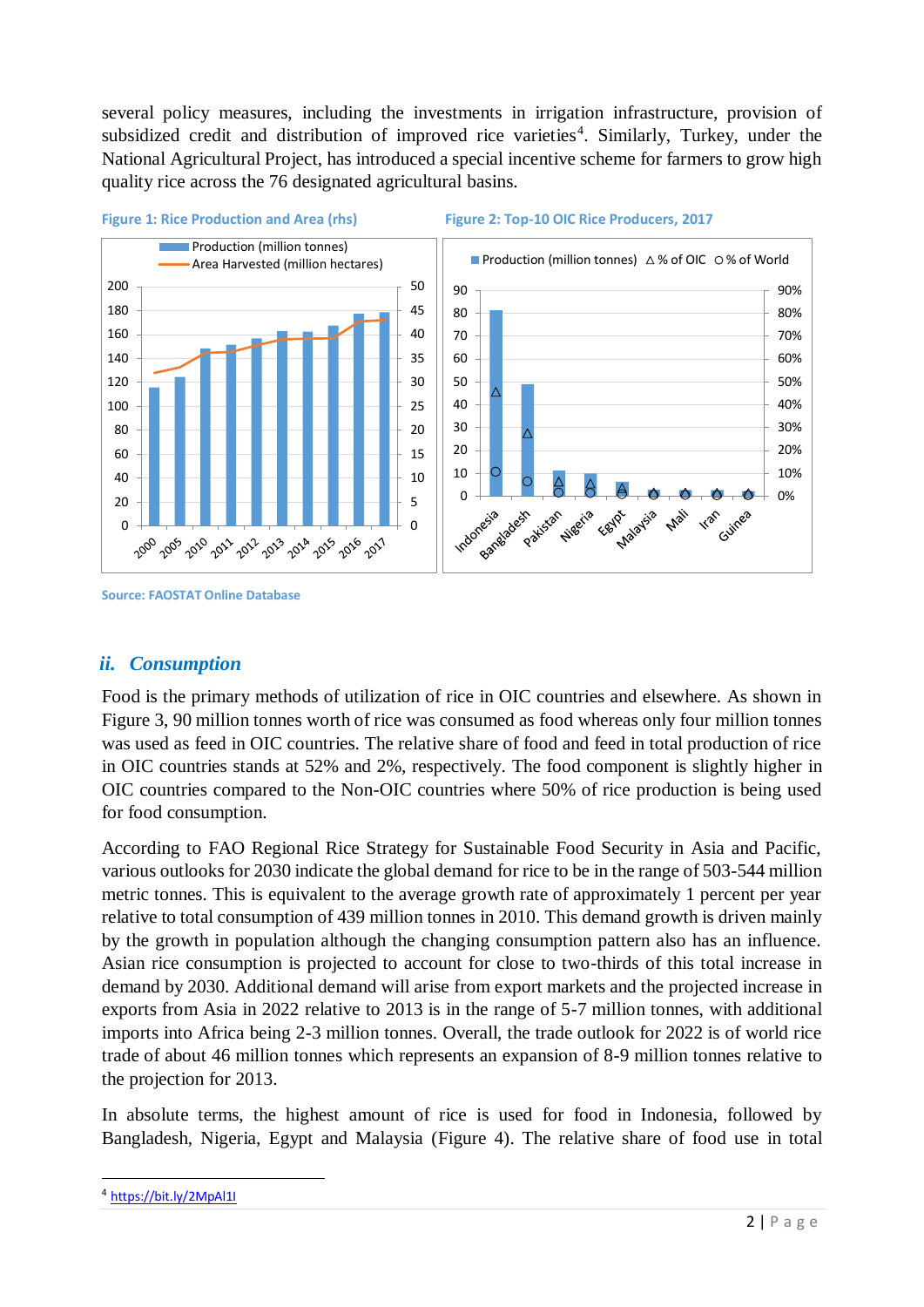several policy measures, including the investments in irrigation infrastructure, provision of subsidized credit and distribution of improved rice varieties<sup>4</sup>. Similarly, Turkey, under the National Agricultural Project, has introduced a special incentive scheme for farmers to grow high quality rice across the 76 designated agricultural basins.



#### **Figure 1: Rice Production and Area (rhs) Figure 2: Top-10 OIC Rice Producers, 2017**



#### **Source: FAOSTAT Online Database**

#### *ii. Consumption*

Food is the primary methods of utilization of rice in OIC countries and elsewhere. As shown in Figure 3, 90 million tonnes worth of rice was consumed as food whereas only four million tonnes was used as feed in OIC countries. The relative share of food and feed in total production of rice in OIC countries stands at 52% and 2%, respectively. The food component is slightly higher in OIC countries compared to the Non-OIC countries where 50% of rice production is being used for food consumption.

According to FAO Regional Rice Strategy for Sustainable Food Security in Asia and Pacific, various outlooks for 2030 indicate the global demand for rice to be in the range of 503-544 million metric tonnes. This is equivalent to the average growth rate of approximately 1 percent per year relative to total consumption of 439 million tonnes in 2010. This demand growth is driven mainly by the growth in population although the changing consumption pattern also has an influence. Asian rice consumption is projected to account for close to two-thirds of this total increase in demand by 2030. Additional demand will arise from export markets and the projected increase in exports from Asia in 2022 relative to 2013 is in the range of 5-7 million tonnes, with additional imports into Africa being 2-3 million tonnes. Overall, the trade outlook for 2022 is of world rice trade of about 46 million tonnes which represents an expansion of 8-9 million tonnes relative to the projection for 2013.

In absolute terms, the highest amount of rice is used for food in Indonesia, followed by Bangladesh, Nigeria, Egypt and Malaysia (Figure 4). The relative share of food use in total

 $\overline{a}$ 

<sup>&</sup>lt;sup>4</sup> <https://bit.ly/2MpAl1I>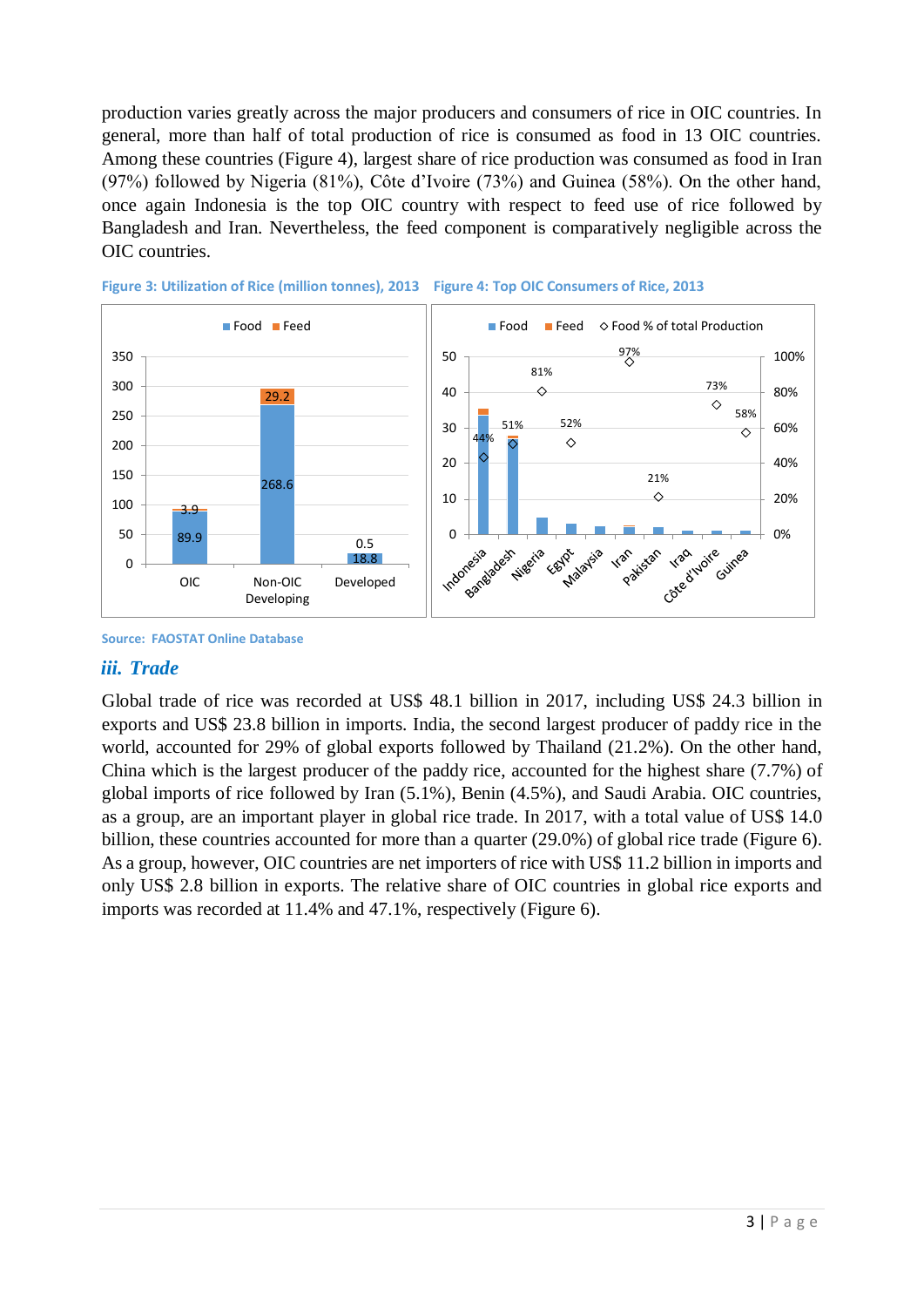production varies greatly across the major producers and consumers of rice in OIC countries. In general, more than half of total production of rice is consumed as food in 13 OIC countries. Among these countries (Figure 4), largest share of rice production was consumed as food in Iran (97%) followed by Nigeria (81%), Côte d'Ivoire (73%) and Guinea (58%). On the other hand, once again Indonesia is the top OIC country with respect to feed use of rice followed by Bangladesh and Iran. Nevertheless, the feed component is comparatively negligible across the OIC countries.





#### *iii. Trade*

Global trade of rice was recorded at US\$ 48.1 billion in 2017, including US\$ 24.3 billion in exports and US\$ 23.8 billion in imports. India, the second largest producer of paddy rice in the world, accounted for 29% of global exports followed by Thailand (21.2%). On the other hand, China which is the largest producer of the paddy rice, accounted for the highest share (7.7%) of global imports of rice followed by Iran (5.1%), Benin (4.5%), and Saudi Arabia. OIC countries, as a group, are an important player in global rice trade. In 2017, with a total value of US\$ 14.0 billion, these countries accounted for more than a quarter (29.0%) of global rice trade (Figure 6). As a group, however, OIC countries are net importers of rice with US\$ 11.2 billion in imports and only US\$ 2.8 billion in exports. The relative share of OIC countries in global rice exports and imports was recorded at 11.4% and 47.1%, respectively (Figure 6).

**Source: FAOSTAT Online Database**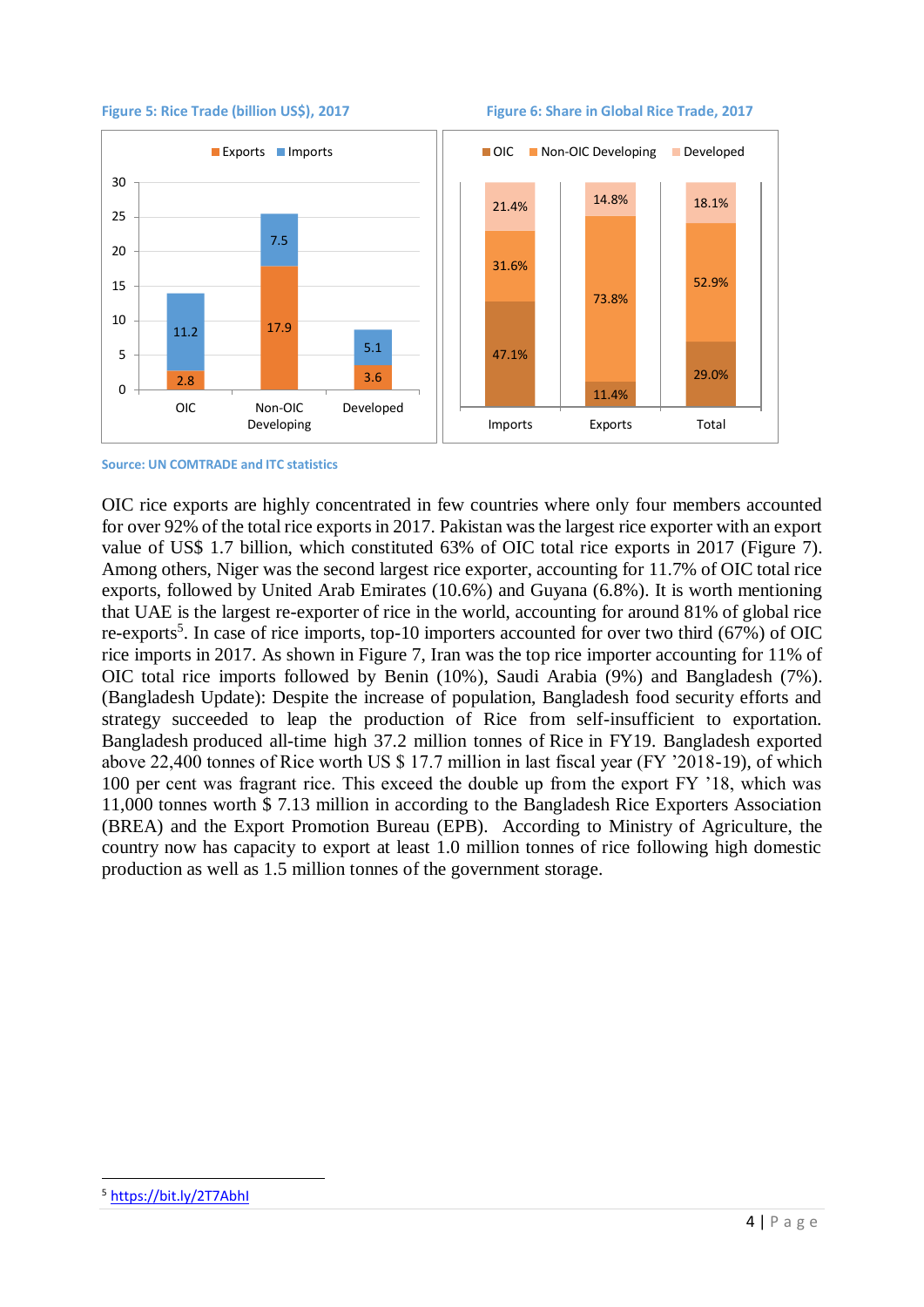



**Source: UN COMTRADE and ITC statistics**

OIC rice exports are highly concentrated in few countries where only four members accounted for over 92% of the total rice exports in 2017. Pakistan was the largest rice exporter with an export value of US\$ 1.7 billion, which constituted 63% of OIC total rice exports in 2017 (Figure 7). Among others, Niger was the second largest rice exporter, accounting for 11.7% of OIC total rice exports, followed by United Arab Emirates (10.6%) and Guyana (6.8%). It is worth mentioning that UAE is the largest re-exporter of rice in the world, accounting for around 81% of global rice re-exports<sup>5</sup>. In case of rice imports, top-10 importers accounted for over two third (67%) of OIC rice imports in 2017. As shown in Figure 7, Iran was the top rice importer accounting for 11% of OIC total rice imports followed by Benin (10%), Saudi Arabia (9%) and Bangladesh (7%). (Bangladesh Update): Despite the increase of population, Bangladesh food security efforts and strategy succeeded to leap the production of Rice from self-insufficient to exportation. Bangladesh produced all-time high 37.2 million tonnes of Rice in FY19. Bangladesh exported above 22,400 tonnes of Rice worth US \$ 17.7 million in last fiscal year (FY '2018-19), of which 100 per cent was fragrant rice. This exceed the double up from the export FY '18, which was 11,000 tonnes worth \$ 7.13 million in according to the Bangladesh Rice Exporters Association (BREA) and the Export Promotion Bureau (EPB). According to Ministry of Agriculture, the country now has capacity to export at least 1.0 million tonnes of rice following high domestic production as well as 1.5 million tonnes of the government storage.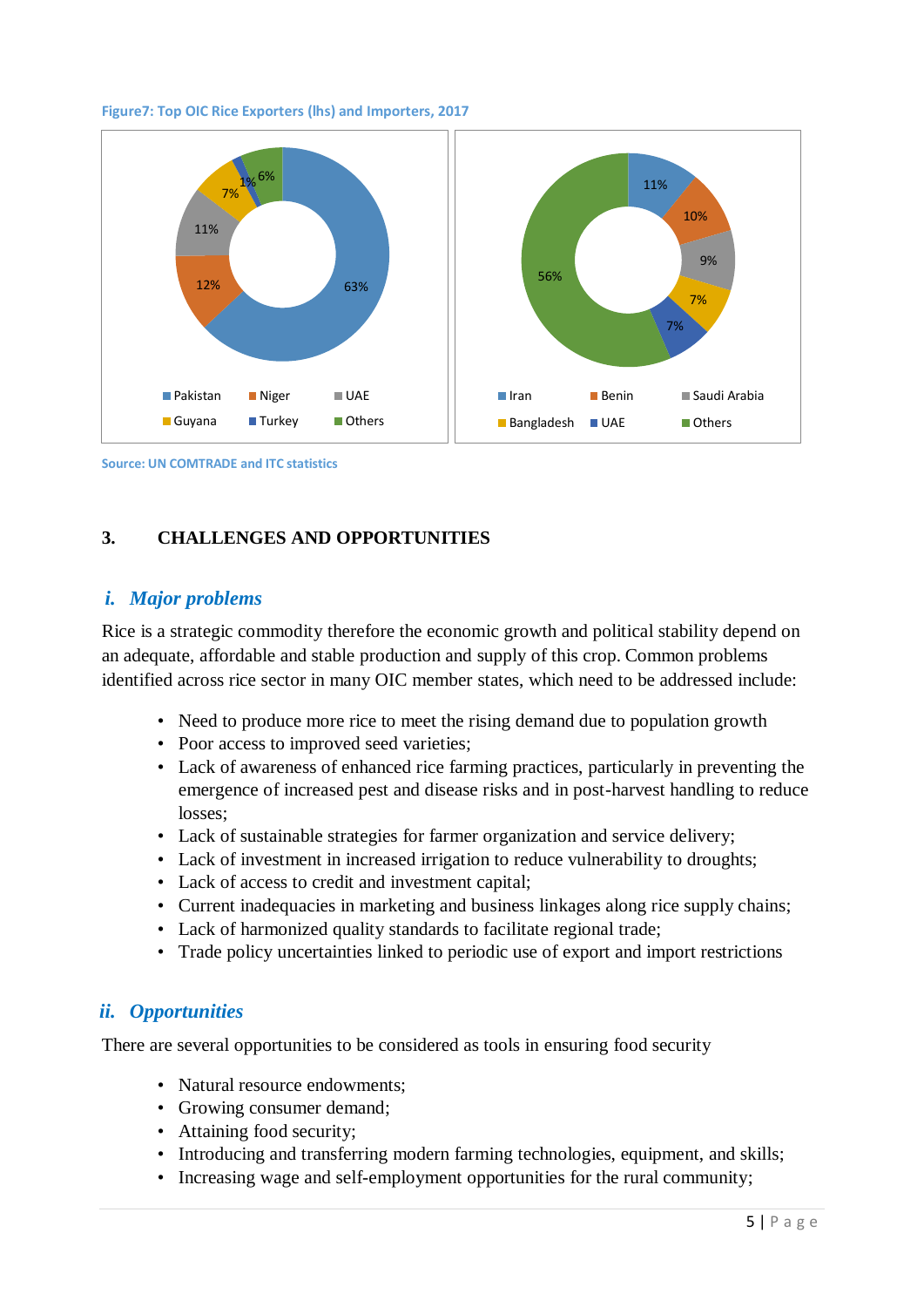

#### **Figure7: Top OIC Rice Exporters (lhs) and Importers, 2017**

**Source: UN COMTRADE and ITC statistics**

## **3. CHALLENGES AND OPPORTUNITIES**

### *i. Major problems*

Rice is a strategic commodity therefore the economic growth and political stability depend on an adequate, affordable and stable production and supply of this crop. Common problems identified across rice sector in many OIC member states, which need to be addressed include:

- Need to produce more rice to meet the rising demand due to population growth
- Poor access to improved seed varieties;
- Lack of awareness of enhanced rice farming practices, particularly in preventing the emergence of increased pest and disease risks and in post-harvest handling to reduce losses;
- Lack of sustainable strategies for farmer organization and service delivery;
- Lack of investment in increased irrigation to reduce vulnerability to droughts;
- Lack of access to credit and investment capital;
- Current inadequacies in marketing and business linkages along rice supply chains;
- Lack of harmonized quality standards to facilitate regional trade;
- Trade policy uncertainties linked to periodic use of export and import restrictions

#### *ii. Opportunities*

There are several opportunities to be considered as tools in ensuring food security

- Natural resource endowments:
- Growing consumer demand;
- Attaining food security;
- Introducing and transferring modern farming technologies, equipment, and skills;
- Increasing wage and self-employment opportunities for the rural community;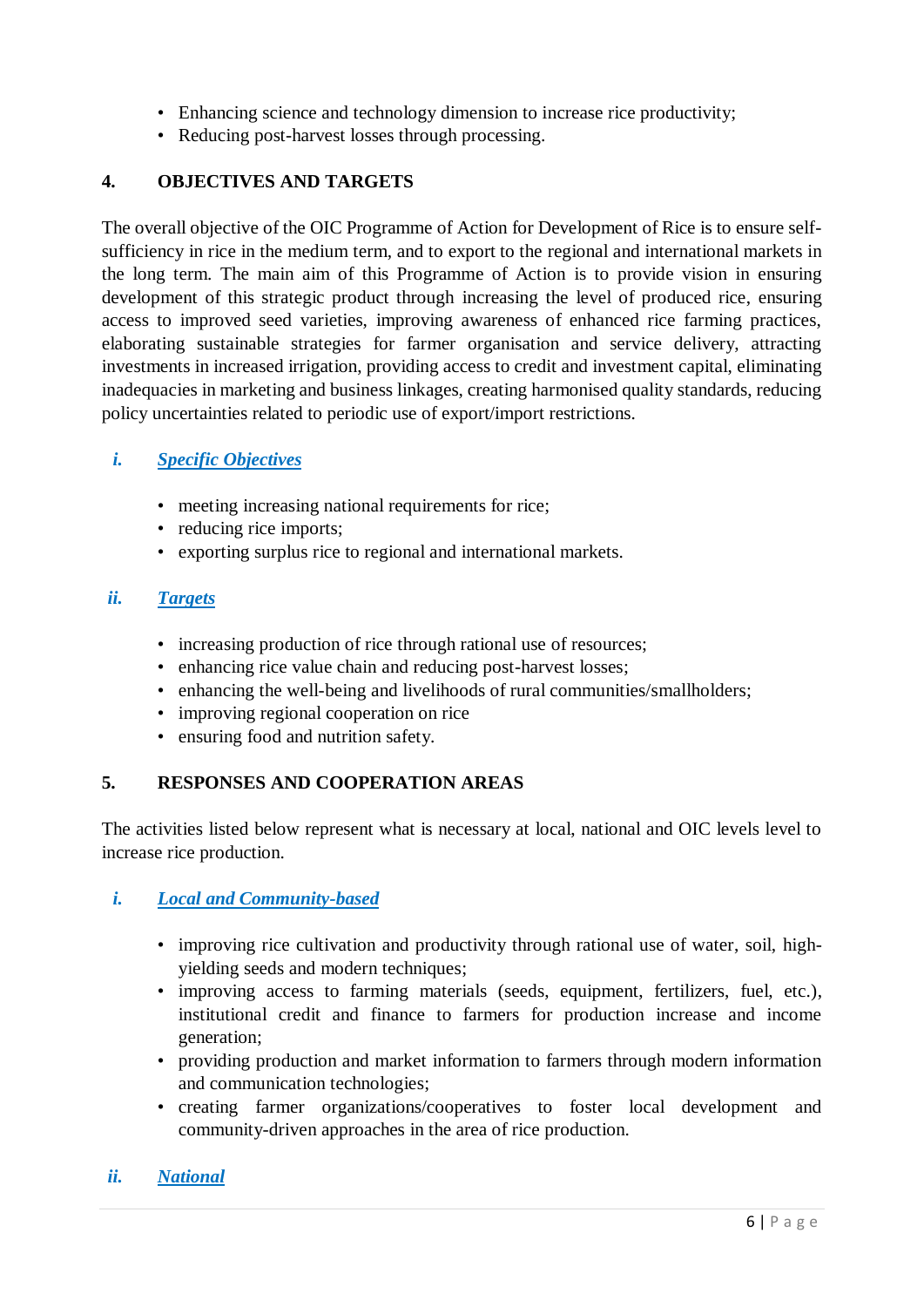- Enhancing science and technology dimension to increase rice productivity;
- Reducing post-harvest losses through processing.

### **4. OBJECTIVES AND TARGETS**

The overall objective of the OIC Programme of Action for Development of Rice is to ensure selfsufficiency in rice in the medium term, and to export to the regional and international markets in the long term. The main aim of this Programme of Action is to provide vision in ensuring development of this strategic product through increasing the level of produced rice, ensuring access to improved seed varieties, improving awareness of enhanced rice farming practices, elaborating sustainable strategies for farmer organisation and service delivery, attracting investments in increased irrigation, providing access to credit and investment capital, eliminating inadequacies in marketing and business linkages, creating harmonised quality standards, reducing policy uncertainties related to periodic use of export/import restrictions.

#### *i. Specific Objectives*

- meeting increasing national requirements for rice;
- reducing rice imports;
- exporting surplus rice to regional and international markets.

#### *ii. Targets*

- increasing production of rice through rational use of resources;
- enhancing rice value chain and reducing post-harvest losses;
- enhancing the well-being and livelihoods of rural communities/smallholders;
- improving regional cooperation on rice
- ensuring food and nutrition safety.

### **5. RESPONSES AND COOPERATION AREAS**

The activities listed below represent what is necessary at local, national and OIC levels level to increase rice production.

#### *i. Local and Community-based*

- improving rice cultivation and productivity through rational use of water, soil, highyielding seeds and modern techniques;
- improving access to farming materials (seeds, equipment, fertilizers, fuel, etc.), institutional credit and finance to farmers for production increase and income generation;
- providing production and market information to farmers through modern information and communication technologies;
- creating farmer organizations/cooperatives to foster local development and community-driven approaches in the area of rice production.

### *ii. National*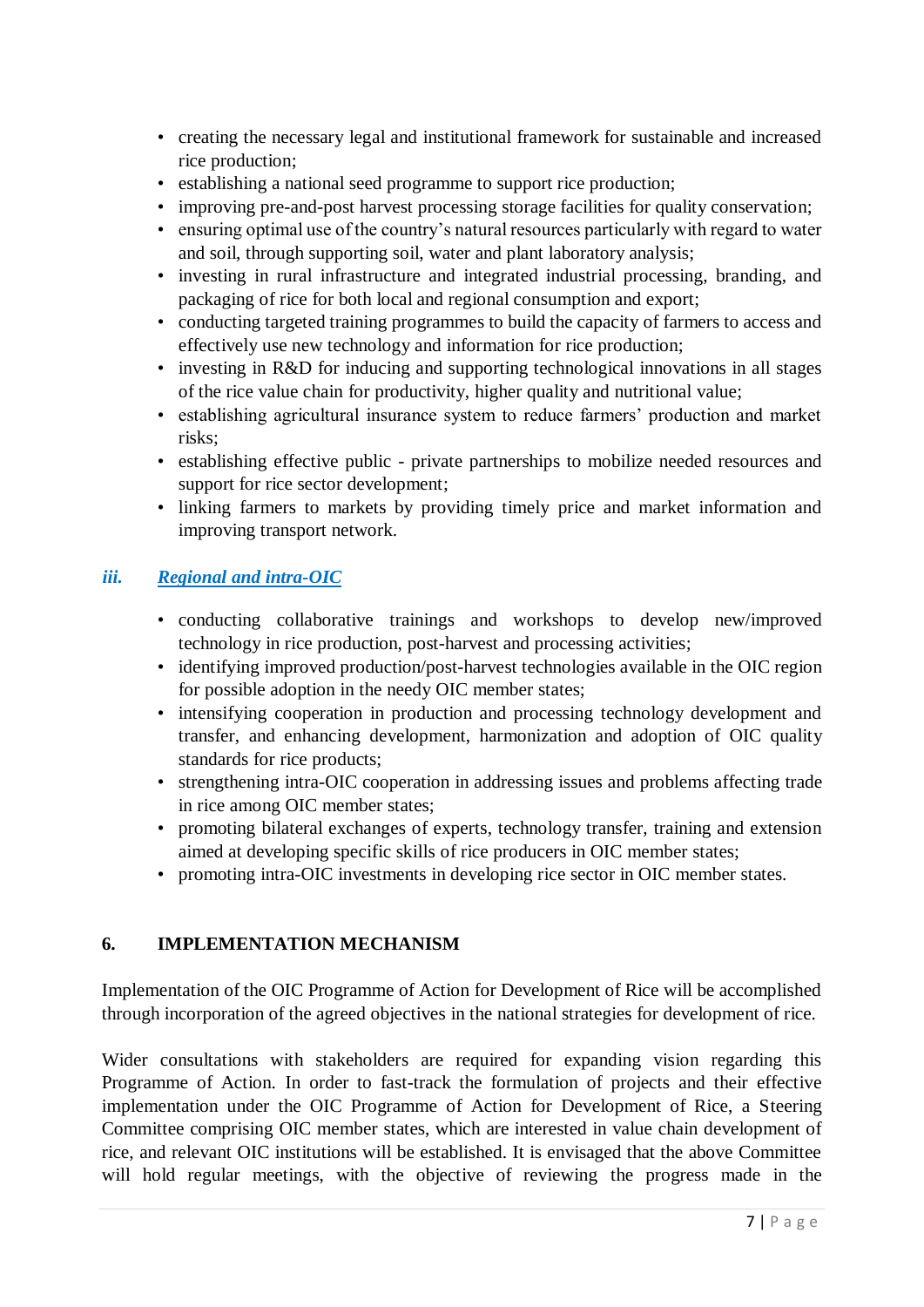- creating the necessary legal and institutional framework for sustainable and increased rice production;
- establishing a national seed programme to support rice production;
- improving pre-and-post harvest processing storage facilities for quality conservation;
- ensuring optimal use of the country's natural resources particularly with regard to water and soil, through supporting soil, water and plant laboratory analysis;
- investing in rural infrastructure and integrated industrial processing, branding, and packaging of rice for both local and regional consumption and export;
- conducting targeted training programmes to build the capacity of farmers to access and effectively use new technology and information for rice production;
- investing in R&D for inducing and supporting technological innovations in all stages of the rice value chain for productivity, higher quality and nutritional value;
- establishing agricultural insurance system to reduce farmers' production and market risks;
- establishing effective public private partnerships to mobilize needed resources and support for rice sector development;
- linking farmers to markets by providing timely price and market information and improving transport network.

## *iii. Regional and intra-OIC*

- conducting collaborative trainings and workshops to develop new/improved technology in rice production, post-harvest and processing activities;
- identifying improved production/post-harvest technologies available in the OIC region for possible adoption in the needy OIC member states;
- intensifying cooperation in production and processing technology development and transfer, and enhancing development, harmonization and adoption of OIC quality standards for rice products;
- strengthening intra-OIC cooperation in addressing issues and problems affecting trade in rice among OIC member states;
- promoting bilateral exchanges of experts, technology transfer, training and extension aimed at developing specific skills of rice producers in OIC member states;
- promoting intra-OIC investments in developing rice sector in OIC member states.

### **6. IMPLEMENTATION MECHANISM**

Implementation of the OIC Programme of Action for Development of Rice will be accomplished through incorporation of the agreed objectives in the national strategies for development of rice.

Wider consultations with stakeholders are required for expanding vision regarding this Programme of Action. In order to fast-track the formulation of projects and their effective implementation under the OIC Programme of Action for Development of Rice, a Steering Committee comprising OIC member states, which are interested in value chain development of rice, and relevant OIC institutions will be established. It is envisaged that the above Committee will hold regular meetings, with the objective of reviewing the progress made in the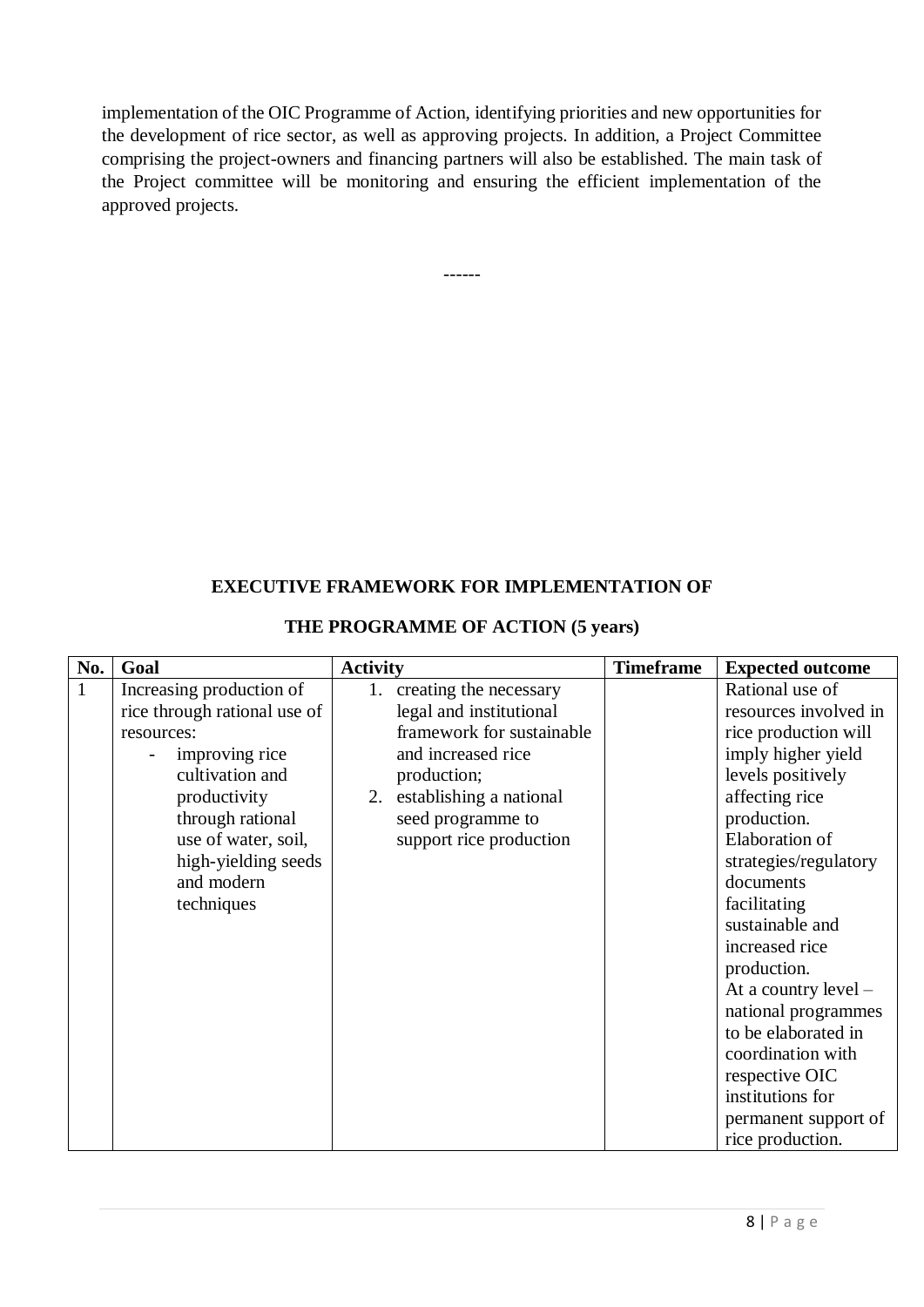implementation of the OIC Programme of Action, identifying priorities and new opportunities for the development of rice sector, as well as approving projects. In addition, a Project Committee comprising the project-owners and financing partners will also be established. The main task of the Project committee will be monitoring and ensuring the efficient implementation of the approved projects.

------

#### **EXECUTIVE FRAMEWORK FOR IMPLEMENTATION OF**

#### **THE PROGRAMME OF ACTION (5 years)**

|              | Goal                                                                                                                                                                                                                      | <b>Activity</b>                                                                                                                                                                                      | <b>Timeframe</b> | <b>Expected outcome</b>                                                                                                                                                                                                                                                                                                                                                                                                             |
|--------------|---------------------------------------------------------------------------------------------------------------------------------------------------------------------------------------------------------------------------|------------------------------------------------------------------------------------------------------------------------------------------------------------------------------------------------------|------------------|-------------------------------------------------------------------------------------------------------------------------------------------------------------------------------------------------------------------------------------------------------------------------------------------------------------------------------------------------------------------------------------------------------------------------------------|
| $\mathbf{1}$ | Increasing production of<br>rice through rational use of<br>resources:<br>improving rice<br>cultivation and<br>productivity<br>through rational<br>use of water, soil,<br>high-yielding seeds<br>and modern<br>techniques | 1. creating the necessary<br>legal and institutional<br>framework for sustainable<br>and increased rice<br>production;<br>2. establishing a national<br>seed programme to<br>support rice production |                  | Rational use of<br>resources involved in<br>rice production will<br>imply higher yield<br>levels positively<br>affecting rice<br>production.<br>Elaboration of<br>strategies/regulatory<br>documents<br>facilitating<br>sustainable and<br>increased rice<br>production.<br>At a country $level -$<br>national programmes<br>to be elaborated in<br>coordination with<br>respective OIC<br>institutions for<br>permanent support of |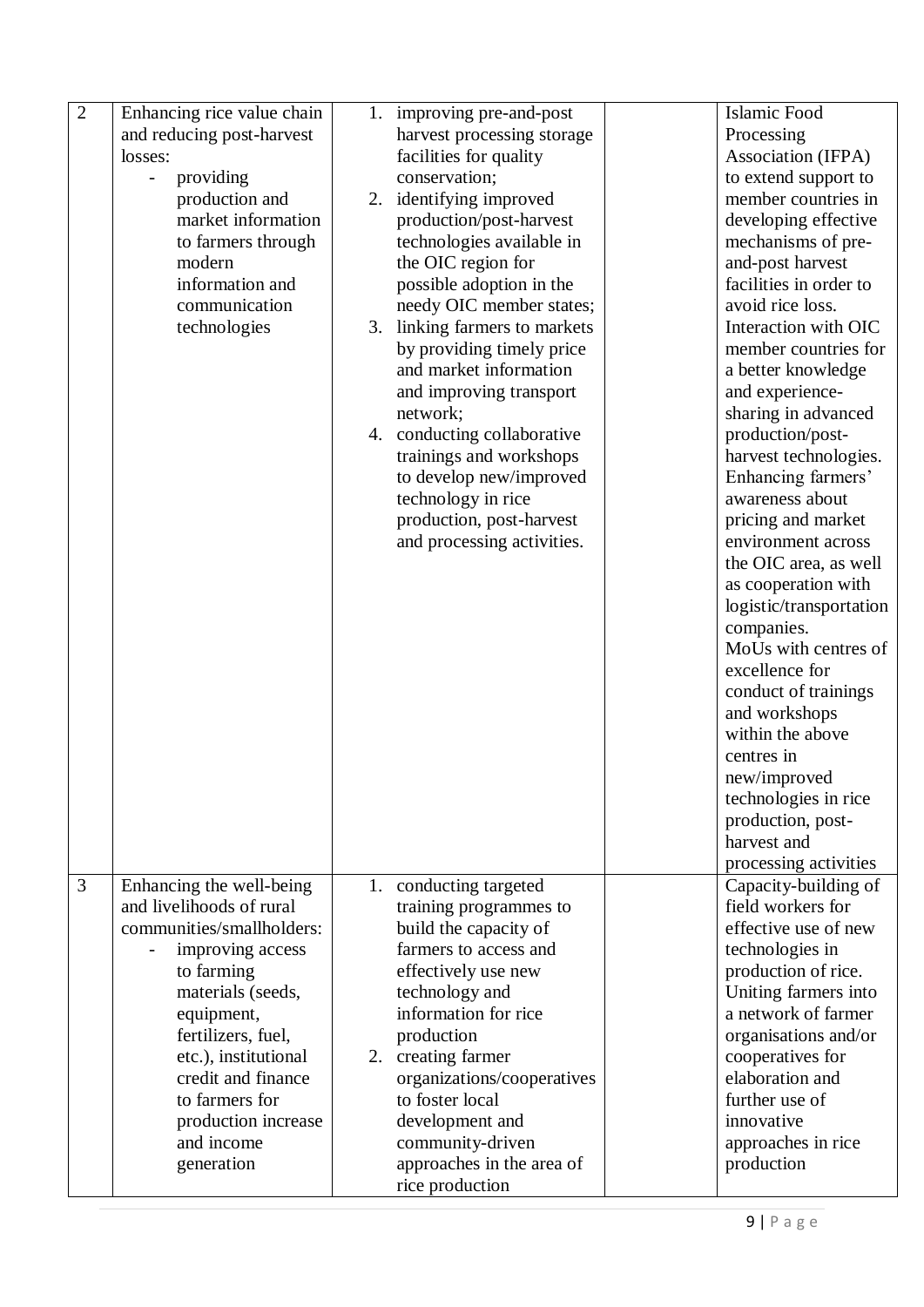| $\overline{2}$ | Enhancing rice value chain            |    | 1. improving pre-and-post   | Islamic Food            |
|----------------|---------------------------------------|----|-----------------------------|-------------------------|
|                | and reducing post-harvest             |    | harvest processing storage  | Processing              |
|                | losses:                               |    | facilities for quality      | Association (IFPA)      |
|                | providing<br>$\overline{\phantom{a}}$ |    | conservation;               | to extend support to    |
|                | production and                        |    | 2. identifying improved     | member countries in     |
|                | market information                    |    | production/post-harvest     | developing effective    |
|                | to farmers through                    |    | technologies available in   | mechanisms of pre-      |
|                | modern                                |    | the OIC region for          | and-post harvest        |
|                | information and                       |    | possible adoption in the    | facilities in order to  |
|                | communication                         |    | needy OIC member states;    | avoid rice loss.        |
|                | technologies                          | 3. | linking farmers to markets  | Interaction with OIC    |
|                |                                       |    | by providing timely price   | member countries for    |
|                |                                       |    | and market information      | a better knowledge      |
|                |                                       |    | and improving transport     | and experience-         |
|                |                                       |    | network;                    | sharing in advanced     |
|                |                                       |    | 4. conducting collaborative | production/post-        |
|                |                                       |    | trainings and workshops     | harvest technologies.   |
|                |                                       |    | to develop new/improved     | Enhancing farmers'      |
|                |                                       |    | technology in rice          | awareness about         |
|                |                                       |    | production, post-harvest    | pricing and market      |
|                |                                       |    | and processing activities.  | environment across      |
|                |                                       |    |                             | the OIC area, as well   |
|                |                                       |    |                             | as cooperation with     |
|                |                                       |    |                             | logistic/transportation |
|                |                                       |    |                             | companies.              |
|                |                                       |    |                             | MoUs with centres of    |
|                |                                       |    |                             | excellence for          |
|                |                                       |    |                             | conduct of trainings    |
|                |                                       |    |                             | and workshops           |
|                |                                       |    |                             | within the above        |
|                |                                       |    |                             | centres in              |
|                |                                       |    |                             | new/improved            |
|                |                                       |    |                             | technologies in rice    |
|                |                                       |    |                             | production, post-       |
|                |                                       |    |                             | harvest and             |
|                |                                       |    |                             | processing activities   |
| 3              | Enhancing the well-being              |    | 1. conducting targeted      | Capacity-building of    |
|                | and livelihoods of rural              |    | training programmes to      | field workers for       |
|                | communities/smallholders:             |    | build the capacity of       | effective use of new    |
|                | improving access                      |    | farmers to access and       | technologies in         |
|                | to farming                            |    | effectively use new         | production of rice.     |
|                | materials (seeds,                     |    | technology and              | Uniting farmers into    |
|                | equipment,                            |    | information for rice        | a network of farmer     |
|                | fertilizers, fuel,                    |    | production                  | organisations and/or    |
|                | etc.), institutional                  |    | 2. creating farmer          | cooperatives for        |
|                | credit and finance                    |    | organizations/cooperatives  | elaboration and         |
|                | to farmers for                        |    | to foster local             | further use of          |
|                | production increase                   |    | development and             | innovative              |
|                | and income                            |    | community-driven            | approaches in rice      |
|                | generation                            |    | approaches in the area of   | production              |
|                |                                       |    | rice production             |                         |